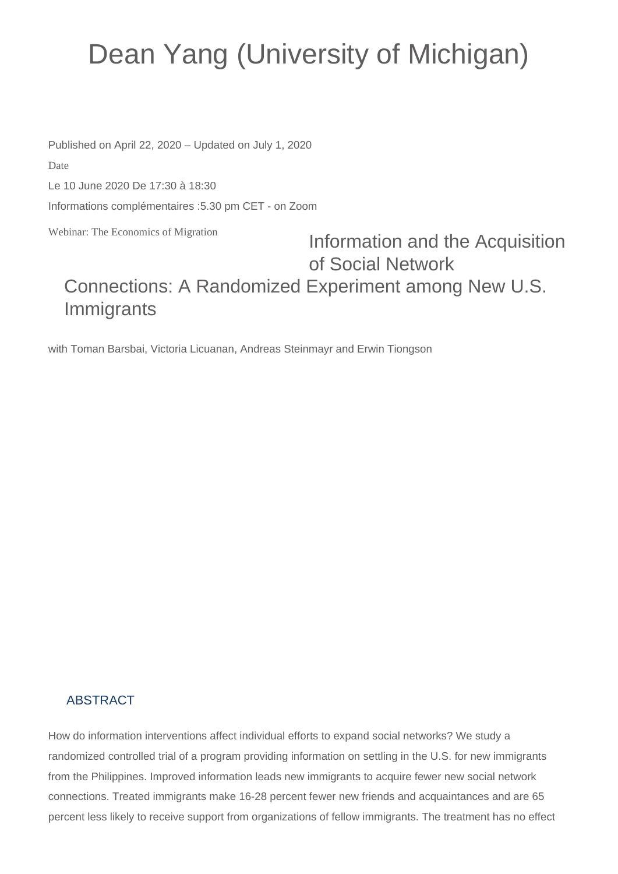## Dean Yang (University of Michigan)

Published on April 22, 2020 – Updated on July 1, 2020

Date

Le 10 June 2020 De 17:30 à 18:30

Informations complémentaires :5.30 pm CET - on Zoom

Webinar: The Economics of Migration

## Information and the Acquisition of Social Network Connections: A Randomized Experiment among New U.S. Immigrants

with Toman Barsbai, Victoria Licuanan, Andreas Steinmayr and Erwin Tiongson

## ABSTRACT

How do information interventions affect individual efforts to expand social networks? We study a randomized controlled trial of a program providing information on settling in the U.S. for new immigrants from the Philippines. Improved information leads new immigrants to acquire fewer new social network connections. Treated immigrants make 16-28 percent fewer new friends and acquaintances and are 65 percent less likely to receive support from organizations of fellow immigrants. The treatment has no effect